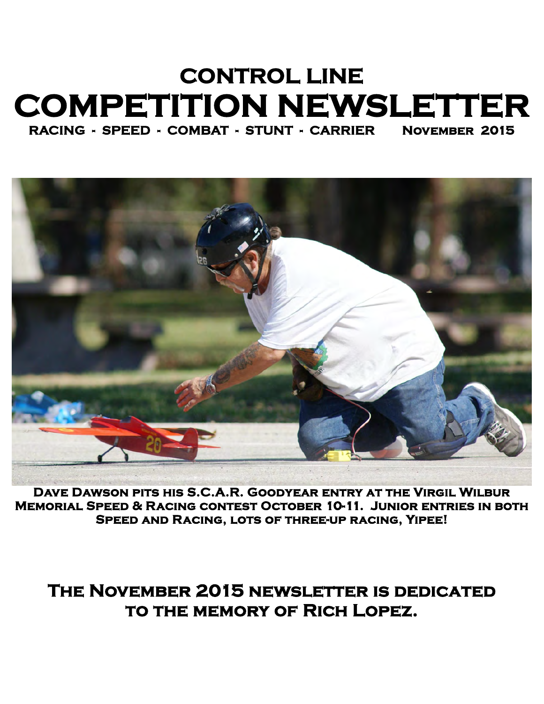## **CONTROL LINE COMPETITION NEWSLETTER RACING - SPEED - COMBAT - STUNT - CARRIER November 2015**

**Dave Dawson pits his S.C.A.R. Goodyear entry at the Virgil Wilbur Memorial Speed & Racing contest October 10-11. Junior entries in both Speed and Racing, lots of three-up racing, Yipee!** 

## **The November 2015 newsletter is dedicated to the memory of Rich Lopez.**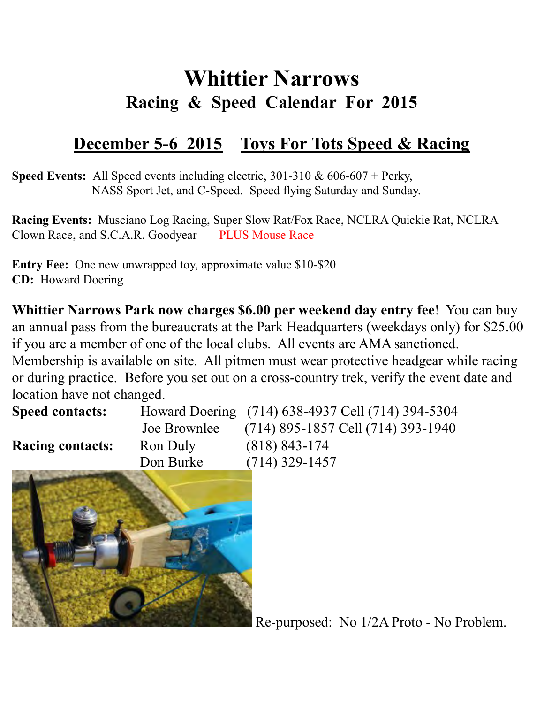## **Whittier Narrows Racing & Speed Calendar For 2015**

## **December 5-6 2015 Toys For Tots Speed & Racing**

**Speed Events:** All Speed events including electric, 301-310 & 606-607 + Perky, NASS Sport Jet, and C-Speed. Speed flying Saturday and Sunday.

**Racing Events:** Musciano Log Racing, Super Slow Rat/Fox Race, NCLRA Quickie Rat, NCLRA Clown Race, and S.C.A.R. Goodyear PLUS Mouse Race

**Entry Fee:** One new unwrapped toy, approximate value \$10-\$20 **CD:** Howard Doering

**Whittier Narrows Park now charges \$6.00 per weekend day entry fee**! You can buy an annual pass from the bureaucrats at the Park Headquarters (weekdays only) for \$25.00 if you are a member of one of the local clubs. All events are AMA sanctioned. Membership is available on site. All pitmen must wear protective headgear while racing or during practice. Before you set out on a cross-country trek, verify the event date and

| rocation nave not enanged. |              |                                                   |
|----------------------------|--------------|---------------------------------------------------|
| <b>Speed contacts:</b>     |              | Howard Doering (714) 638-4937 Cell (714) 394-5304 |
|                            | Joe Brownlee | $(714)$ 895-1857 Cell (714) 393-1940              |
| <b>Racing contacts:</b>    | Ron Duly     | $(818) 843 - 174$                                 |
|                            | Don Burke    | $(714)$ 329-1457                                  |



location have not changed.

Re-purposed: No 1/2A Proto - No Problem.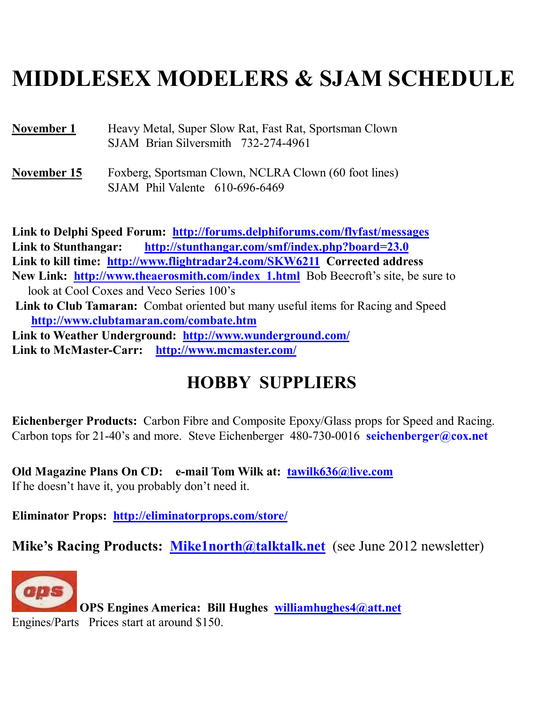## **MIDDLESEX MODELERS & SJAM SCHEDULE**

**November 1** Heavy Metal, Super Slow Rat, Fast Rat, Sportsman Clown SJAM Brian Silversmith 732-274-4961

**November 15** Foxberg, Sportsman Clown, NCLRA Clown (60 foot lines) SJAM Phil Valente 610-696-6469

**Link to Delphi Speed Forum: http://forums.delphiforums.com/flyfast/messages Link to Stunthangar: http://stunthangar.com/smf/index.php?board=23.0 Link to kill time: http://www.flightradar24.com/SKW6211 Corrected address New Link: http://www.theaerosmith.com/index\_1.html** Bob Beecroft's site, be sure to look at Cool Coxes and Veco Series 100's **Link to Club Tamaran:** Combat oriented but many useful items for Racing and Speed **http://www.clubtamaran.com/combate.htm Link to Weather Underground: http://www.wunderground.com/ Link to McMaster-Carr: http://www.mcmaster.com/**

## **HOBBY SUPPLIERS**

**Eichenberger Products:** Carbon Fibre and Composite Epoxy/Glass props for Speed and Racing. Carbon tops for 21-40's and more. Steve Eichenberger 480-730-0016 **seichenberger@cox.net**

Old Magazine Plans On CD: e-mail Tom Wilk at: **tawilk636@live.com** If he doesn't have it, you probably don't need it.

**Eliminator Props: http://eliminatorprops.com/store/**

**Mike's Racing Products: Mike1north@talktalk.net** (see June 2012 newsletter)



 **OPS Engines America: Bill Hughes williamhughes4@att.net**  Engines/Parts Prices start at around \$150.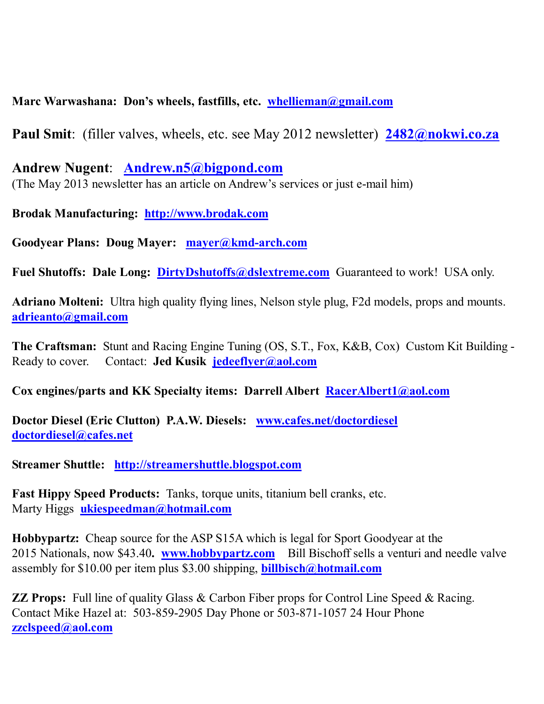### **Marc Warwashana: Don's wheels, fastfills, etc. whellieman@gmail.com**

**Paul Smit**: (filler valves, wheels, etc. see May 2012 newsletter) **2482@nokwi.co.za**

**Andrew Nugent**: **Andrew.n5@bigpond.com** (The May 2013 newsletter has an article on Andrew's services or just e-mail him)

**Brodak Manufacturing: http://www.brodak.com**

**Goodyear Plans: Doug Mayer: mayer@kmd-arch.com**

Fuel Shutoffs: Dale Long: DirtyDshutoffs@dslextreme.com Guaranteed to work! USA only.

**Adriano Molteni:** Ultra high quality flying lines, Nelson style plug, F2d models, props and mounts. **adrieanto@gmail.com**

**The Craftsman:** Stunt and Racing Engine Tuning (OS, S.T., Fox, K&B, Cox) Custom Kit Building - Ready to cover. Contact: **Jed Kusik jedeeflyer@aol.com**

**Cox engines/parts and KK Specialty items: Darrell Albert RacerAlbert1@aol.com**

**Doctor Diesel (Eric Clutton) P.A.W. Diesels: www.cafes.net/doctordiesel doctordiesel@cafes.net** 

**Streamer Shuttle: http://streamershuttle.blogspot.com**

**Fast Hippy Speed Products:** Tanks, torque units, titanium bell cranks, etc. Marty Higgs **ukiespeedman@hotmail.com** 

**Hobbypartz:** Cheap source for the ASP S15A which is legal for Sport Goodyear at the 2015 Nationals, now \$43.40**. www.hobbypartz.com** Bill Bischoff sells a venturi and needle valve assembly for \$10.00 per item plus \$3.00 shipping, **billbisch@hotmail.com**

**ZZ Props:** Full line of quality Glass & Carbon Fiber props for Control Line Speed & Racing. Contact Mike Hazel at: 503-859-2905 Day Phone or 503-871-1057 24 Hour Phone **zzclspeed@aol.com**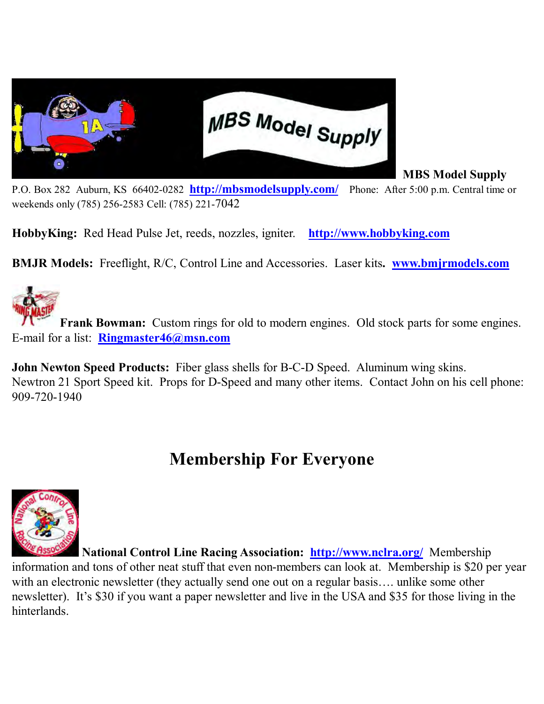

 **MBS Model Supply** 

P.O. Box 282 Auburn, KS 66402-0282 **http://mbsmodelsupply.com/** Phone: After 5:00 p.m. Central time or weekends only (785) 256-2583 Cell: (785) 221-7042

**HobbyKing:** Red Head Pulse Jet, reeds, nozzles, igniter. **http://www.hobbyking.com**

**BMJR Models:** Freeflight, R/C, Control Line and Accessories. Laser kits**. www.bmjrmodels.com**



**Frank Bowman:** Custom rings for old to modern engines. Old stock parts for some engines. E-mail for a list: **Ringmaster46@msn.com** 

**John Newton Speed Products:** Fiber glass shells for B-C-D Speed. Aluminum wing skins. Newtron 21 Sport Speed kit. Props for D-Speed and many other items. Contact John on his cell phone: 909-720-1940

## **Membership For Everyone**



 **National Control Line Racing Association: http://www.nclra.org/** Membership information and tons of other neat stuff that even non-members can look at. Membership is \$20 per year with an electronic newsletter (they actually send one out on a regular basis…. unlike some other newsletter). It's \$30 if you want a paper newsletter and live in the USA and \$35 for those living in the hinterlands.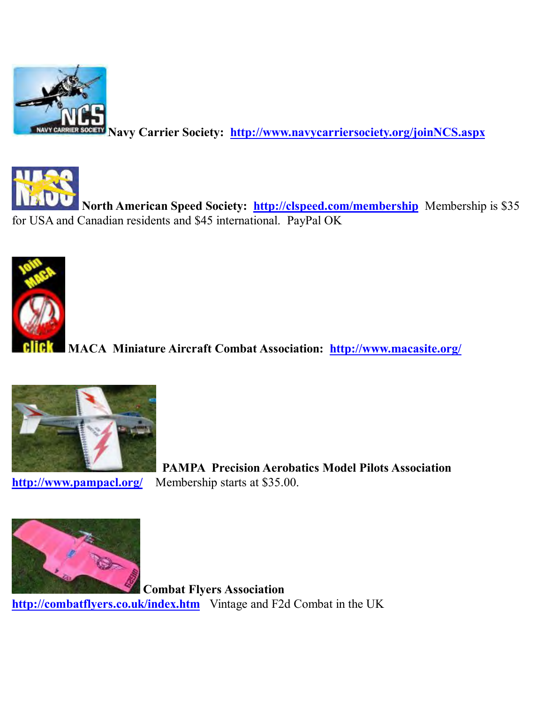

**Navy Carrier Society: http://www.navycarriersociety.org/joinNCS.aspx** 



**North American Speed Society:** http://clspeed.com/membership Membership is \$35 for USA and Canadian residents and \$45 international. PayPal OK



**MACA Miniature Aircraft Combat Association: http://www.macasite.org/** 



 **PAMPA Precision Aerobatics Model Pilots Association http://www.pampacl.org/** Membership starts at \$35.00.



**Combat Flyers Association http://combatflyers.co.uk/index.htm** Vintage and F2d Combat in the UK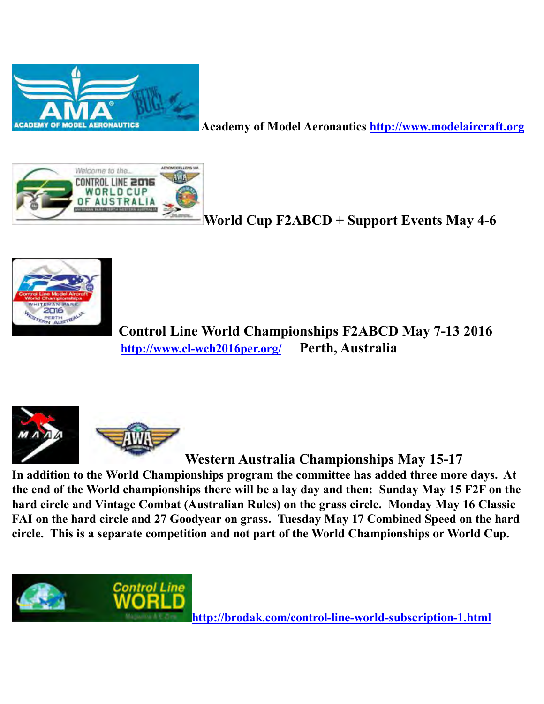

 **Academy of Model Aeronautics http://www.modelaircraft.org**



**World Cup F2ABCD + Support Events May 4-6** 



 **Control Line World Championships F2ABCD May 7-13 2016 http://www.cl-wch2016per.org/ Perth, Australia** 



 **Western Australia Championships May 15-17** 

**In addition to the World Championships program the committee has added three more days. At the end of the World championships there will be a lay day and then: Sunday May 15 F2F on the hard circle and Vintage Combat (Australian Rules) on the grass circle. Monday May 16 Classic FAI on the hard circle and 27 Goodyear on grass. Tuesday May 17 Combined Speed on the hard circle. This is a separate competition and not part of the World Championships or World Cup.** 



**http://brodak.com/control-line-world-subscription-1.html**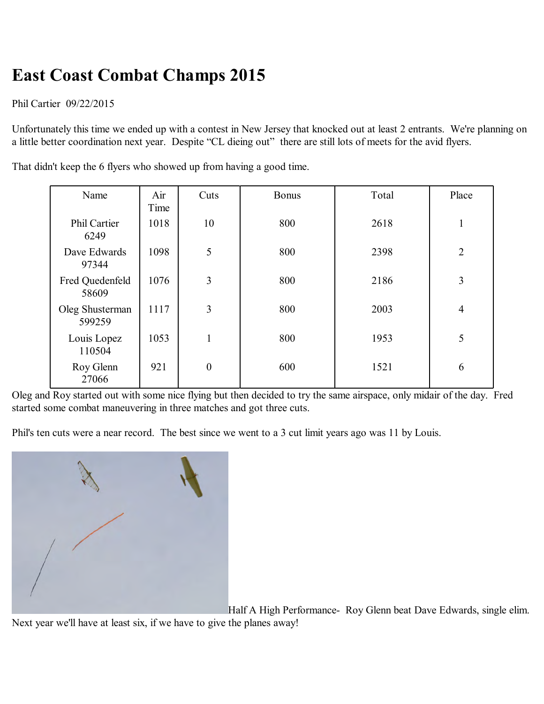## **East Coast Combat Champs 2015**

Phil Cartier 09/22/2015

Unfortunately this time we ended up with a contest in New Jersey that knocked out at least 2 entrants. We're planning on a little better coordination next year. Despite "CL dieing out" there are still lots of meets for the avid flyers.

That didn't keep the 6 flyers who showed up from having a good time.

| Name                        | Air<br>Time | Cuts             | <b>Bonus</b> | Total | Place          |
|-----------------------------|-------------|------------------|--------------|-------|----------------|
| <b>Phil Cartier</b><br>6249 | 1018        | 10               | 800          | 2618  | 1              |
| Dave Edwards<br>97344       | 1098        | 5                | 800          | 2398  | $\overline{2}$ |
| Fred Quedenfeld<br>58609    | 1076        | 3                | 800          | 2186  | 3              |
| Oleg Shusterman<br>599259   | 1117        | 3                | 800          | 2003  | $\overline{4}$ |
| Louis Lopez<br>110504       | 1053        | $\mathbf{1}$     | 800          | 1953  | 5              |
| Roy Glenn<br>27066          | 921         | $\boldsymbol{0}$ | 600          | 1521  | 6              |

Oleg and Roy started out with some nice flying but then decided to try the same airspace, only midair of the day. Fred started some combat maneuvering in three matches and got three cuts.

Phil's ten cuts were a near record. The best since we went to a 3 cut limit years ago was 11 by Louis.



Half A High Performance- Roy Glenn beat Dave Edwards, single elim.

Next year we'll have at least six, if we have to give the planes away!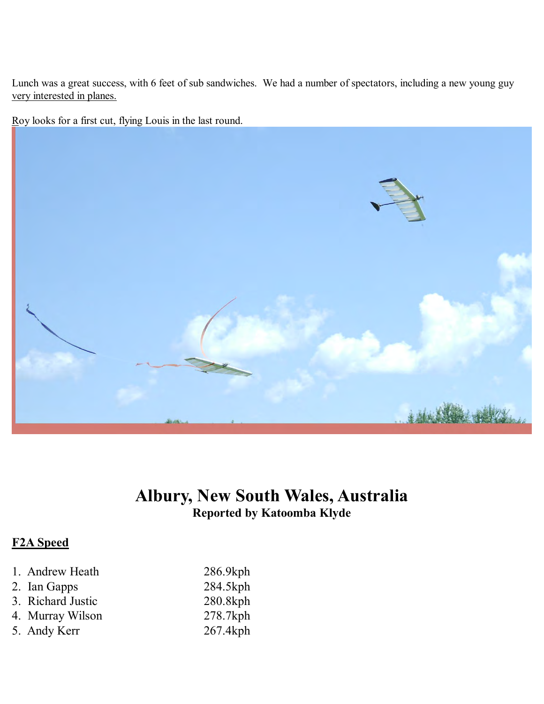Lunch was a great success, with 6 feet of sub sandwiches. We had a number of spectators, including a new young guy very interested in planes.

Roy looks for a first cut, flying Louis in the last round.



### **Albury, New South Wales, Australia Reported by Katoomba Klyde**

### **F2A Speed**

| 1. Andrew Heath   | 286.9kph |
|-------------------|----------|
| 2. Ian Gapps      | 284.5kph |
| 3. Richard Justic | 280.8kph |
| 4. Murray Wilson  | 278.7kph |
| 5. Andy Kerr      | 267.4kph |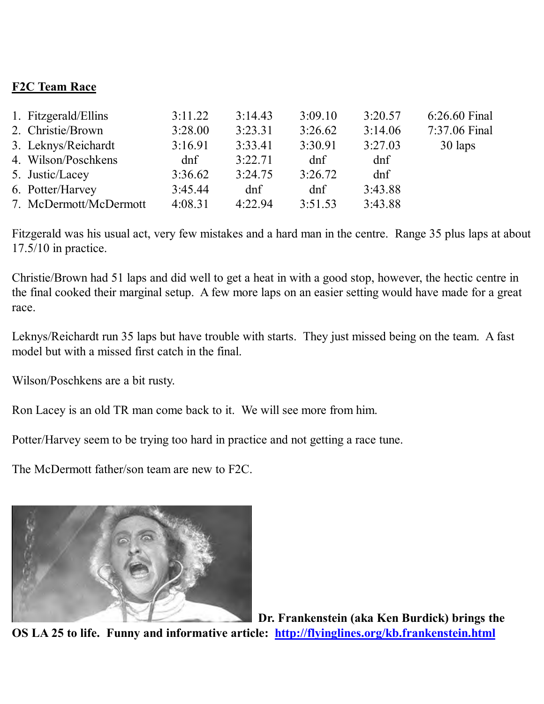### **F2C Team Race**

| 1. Fitzgerald/Ellins   | 3:11.22 | 3:14.43 | 3:09.10 | 3:20.57 | 6:26.60 Final |
|------------------------|---------|---------|---------|---------|---------------|
| 2. Christie/Brown      | 3:28.00 | 3:23.31 | 3:26.62 | 3:14.06 | 7:37.06 Final |
| 3. Leknys/Reichardt    | 3:16.91 | 3:33.41 | 3:30.91 | 3:27.03 | 30 laps       |
| 4. Wilson/Poschkens    | dnf     | 3:22.71 | dnf     | dnf     |               |
| 5. Justic/Lacey        | 3:36.62 | 3:24.75 | 3:26.72 | dnf     |               |
| 6. Potter/Harvey       | 3:45.44 | dnf     | dnf     | 3:43.88 |               |
| 7. McDermott/McDermott | 4:08.31 | 4:22.94 | 3:51.53 | 3:43.88 |               |

Fitzgerald was his usual act, very few mistakes and a hard man in the centre. Range 35 plus laps at about 17.5/10 in practice.

Christie/Brown had 51 laps and did well to get a heat in with a good stop, however, the hectic centre in the final cooked their marginal setup. A few more laps on an easier setting would have made for a great race.

Leknys/Reichardt run 35 laps but have trouble with starts. They just missed being on the team. A fast model but with a missed first catch in the final.

Wilson/Poschkens are a bit rusty.

Ron Lacey is an old TR man come back to it. We will see more from him.

Potter/Harvey seem to be trying too hard in practice and not getting a race tune.

The McDermott father/son team are new to F2C.



 **Dr. Frankenstein (aka Ken Burdick) brings the OS LA 25 to life. Funny and informative article: http://flyinglines.org/kb.frankenstein.html**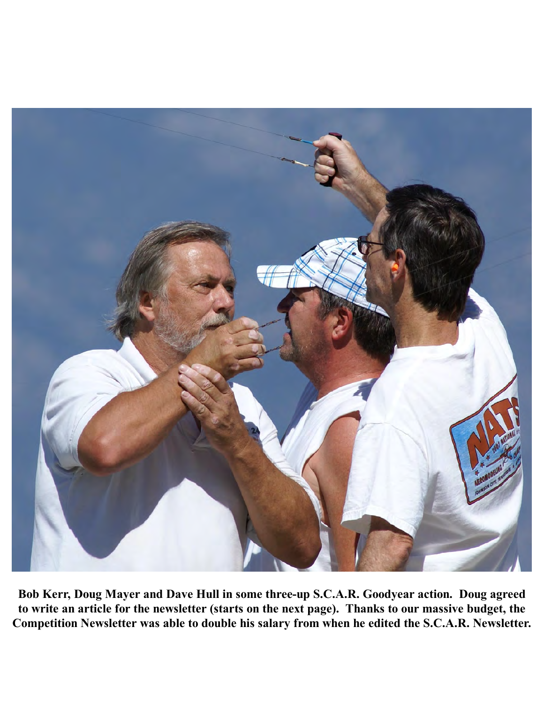

**Bob Kerr, Doug Mayer and Dave Hull in some three-up S.C.A.R. Goodyear action. Doug agreed to write an article for the newsletter (starts on the next page). Thanks to our massive budget, the Competition Newsletter was able to double his salary from when he edited the S.C.A.R. Newsletter.**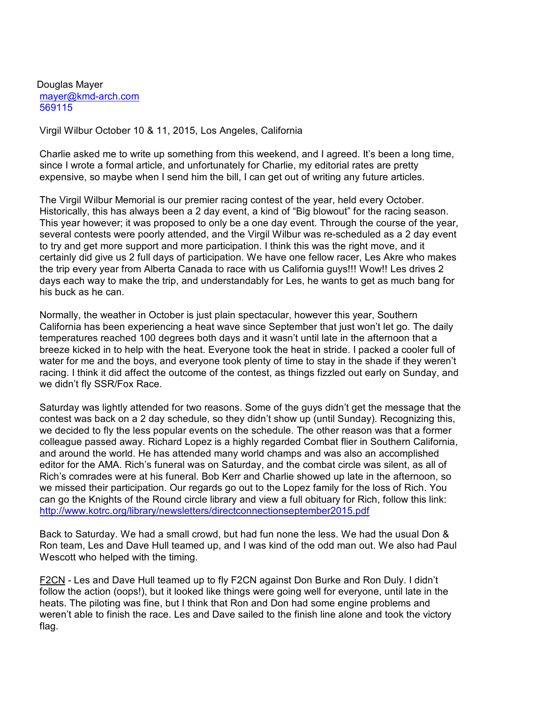Douglas Mayer mayer@kmd-arch.com 569115

Virgil Wilbur October 10 & 11, 2015, Los Angeles, California

 Charlie asked me to write up something from this weekend, and I agreed. It's been a long time, since I wrote a formal article, and unfortunately for Charlie, my editorial rates are pretty expensive, so maybe when I send him the bill, I can get out of writing any future articles.

 The Virgil Wilbur Memorial is our premier racing contest of the year, held every October. Historically, this has always been a 2 day event, a kind of "Big blowout" for the racing season. This year however; it was proposed to only be a one day event. Through the course of the year, several contests were poorly attended, and the Virgil Wilbur was re-scheduled as a 2 day event to try and get more support and more participation. I think this was the right move, and it certainly did give us 2 full days of participation. We have one fellow racer, Les Akre who makes the trip every year from Alberta Canada to race with us California guys!!! Wow!! Les drives 2 days each way to make the trip, and understandably for Les, he wants to get as much bang for his buck as he can.

 Normally, the weather in October is just plain spectacular, however this year, Southern California has been experiencing a heat wave since September that just won't let go. The daily temperatures reached 100 degrees both days and it wasn't until late in the afternoon that a breeze kicked in to help with the heat. Everyone took the heat in stride. I packed a cooler full of water for me and the boys, and everyone took plenty of time to stay in the shade if they weren't racing. I think it did affect the outcome of the contest, as things fizzled out early on Sunday, and we didn't fly SSR/Fox Race.

 Saturday was lightly attended for two reasons. Some of the guys didn't get the message that the contest was back on a 2 day schedule, so they didn't show up (until Sunday). Recognizing this, we decided to fly the less popular events on the schedule. The other reason was that a former colleague passed away. Richard Lopez is a highly regarded Combat flier in Southern California, and around the world. He has attended many world champs and was also an accomplished editor for the AMA. Rich's funeral was on Saturday, and the combat circle was silent, as all of Rich's comrades were at his funeral. Bob Kerr and Charlie showed up late in the afternoon, so we missed their participation. Our regards go out to the Lopez family for the loss of Rich. You can go the Knights of the Round circle library and view a full obituary for Rich, follow this link: http://www.kotrc.org/library/newsletters/directconnectionseptember2015.pdf

 Back to Saturday. We had a small crowd, but had fun none the less. We had the usual Don & Ron team, Les and Dave Hull teamed up, and I was kind of the odd man out. We also had Paul Wescott who helped with the timing.

 F2CN - Les and Dave Hull teamed up to fly F2CN against Don Burke and Ron Duly. I didn't follow the action (oops!), but it looked like things were going well for everyone, until late in the heats. The piloting was fine, but I think that Ron and Don had some engine problems and weren't able to finish the race. Les and Dave sailed to the finish line alone and took the victory flag.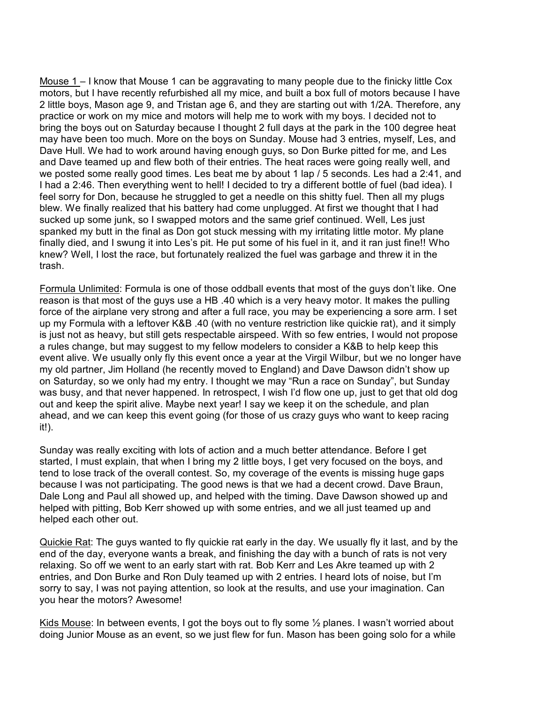Mouse 1 – I know that Mouse 1 can be aggravating to many people due to the finicky little Cox motors, but I have recently refurbished all my mice, and built a box full of motors because I have 2 little boys, Mason age 9, and Tristan age 6, and they are starting out with 1/2A. Therefore, any practice or work on my mice and motors will help me to work with my boys. I decided not to bring the boys out on Saturday because I thought 2 full days at the park in the 100 degree heat may have been too much. More on the boys on Sunday. Mouse had 3 entries, myself, Les, and Dave Hull. We had to work around having enough guys, so Don Burke pitted for me, and Les and Dave teamed up and flew both of their entries. The heat races were going really well, and we posted some really good times. Les beat me by about 1 lap / 5 seconds. Les had a 2:41, and I had a 2:46. Then everything went to hell! I decided to try a different bottle of fuel (bad idea). I feel sorry for Don, because he struggled to get a needle on this shitty fuel. Then all my plugs blew. We finally realized that his battery had come unplugged. At first we thought that I had sucked up some junk, so I swapped motors and the same grief continued. Well, Les just spanked my butt in the final as Don got stuck messing with my irritating little motor. My plane finally died, and I swung it into Les's pit. He put some of his fuel in it, and it ran just fine!! Who knew? Well, I lost the race, but fortunately realized the fuel was garbage and threw it in the trash.

 Formula Unlimited: Formula is one of those oddball events that most of the guys don't like. One reason is that most of the guys use a HB .40 which is a very heavy motor. It makes the pulling force of the airplane very strong and after a full race, you may be experiencing a sore arm. I set up my Formula with a leftover K&B .40 (with no venture restriction like quickie rat), and it simply is just not as heavy, but still gets respectable airspeed. With so few entries, I would not propose a rules change, but may suggest to my fellow modelers to consider a K&B to help keep this event alive. We usually only fly this event once a year at the Virgil Wilbur, but we no longer have my old partner, Jim Holland (he recently moved to England) and Dave Dawson didn't show up on Saturday, so we only had my entry. I thought we may "Run a race on Sunday", but Sunday was busy, and that never happened. In retrospect, I wish I'd flow one up, just to get that old dog out and keep the spirit alive. Maybe next year! I say we keep it on the schedule, and plan ahead, and we can keep this event going (for those of us crazy guys who want to keep racing it!).

 Sunday was really exciting with lots of action and a much better attendance. Before I get started, I must explain, that when I bring my 2 little boys, I get very focused on the boys, and tend to lose track of the overall contest. So, my coverage of the events is missing huge gaps because I was not participating. The good news is that we had a decent crowd. Dave Braun, Dale Long and Paul all showed up, and helped with the timing. Dave Dawson showed up and helped with pitting, Bob Kerr showed up with some entries, and we all just teamed up and helped each other out.

Quickie Rat: The guys wanted to fly quickie rat early in the day. We usually fly it last, and by the end of the day, everyone wants a break, and finishing the day with a bunch of rats is not very relaxing. So off we went to an early start with rat. Bob Kerr and Les Akre teamed up with 2 entries, and Don Burke and Ron Duly teamed up with 2 entries. I heard lots of noise, but I'm sorry to say, I was not paying attention, so look at the results, and use your imagination. Can you hear the motors? Awesome!

Kids Mouse: In between events, I got the boys out to fly some  $\frac{1}{2}$  planes. I wasn't worried about doing Junior Mouse as an event, so we just flew for fun. Mason has been going solo for a while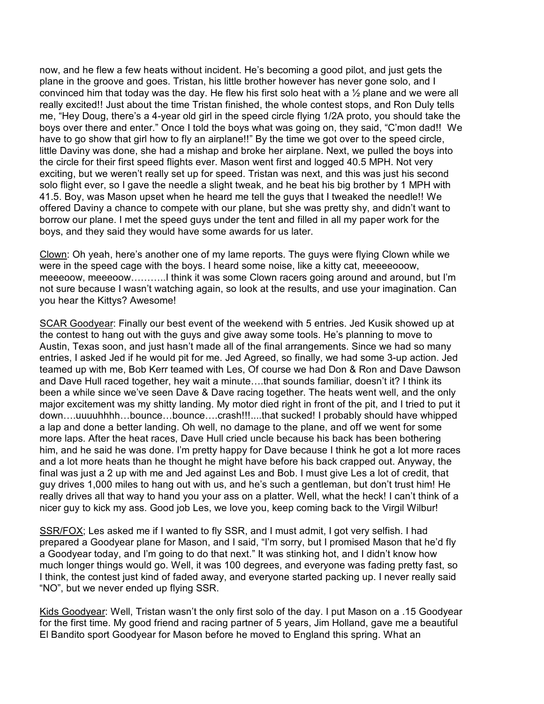now, and he flew a few heats without incident. He's becoming a good pilot, and just gets the plane in the groove and goes. Tristan, his little brother however has never gone solo, and I convinced him that today was the day. He flew his first solo heat with a ½ plane and we were all really excited!! Just about the time Tristan finished, the whole contest stops, and Ron Duly tells me, "Hey Doug, there's a 4-year old girl in the speed circle flying 1/2A proto, you should take the boys over there and enter." Once I told the boys what was going on, they said, "C'mon dad!! We have to go show that girl how to fly an airplane!!" By the time we got over to the speed circle, little Daviny was done, she had a mishap and broke her airplane. Next, we pulled the boys into the circle for their first speed flights ever. Mason went first and logged 40.5 MPH. Not very exciting, but we weren't really set up for speed. Tristan was next, and this was just his second solo flight ever, so I gave the needle a slight tweak, and he beat his big brother by 1 MPH with 41.5. Boy, was Mason upset when he heard me tell the guys that I tweaked the needle!! We offered Daviny a chance to compete with our plane, but she was pretty shy, and didn't want to borrow our plane. I met the speed guys under the tent and filled in all my paper work for the boys, and they said they would have some awards for us later.

 Clown: Oh yeah, here's another one of my lame reports. The guys were flying Clown while we were in the speed cage with the boys. I heard some noise, like a kitty cat, meeeeooow, meeeoow, meeeoow………..I think it was some Clown racers going around and around, but I'm not sure because I wasn't watching again, so look at the results, and use your imagination. Can you hear the Kittys? Awesome!

 SCAR Goodyear: Finally our best event of the weekend with 5 entries. Jed Kusik showed up at the contest to hang out with the guys and give away some tools. He's planning to move to Austin, Texas soon, and just hasn't made all of the final arrangements. Since we had so many entries, I asked Jed if he would pit for me. Jed Agreed, so finally, we had some 3-up action. Jed teamed up with me, Bob Kerr teamed with Les, Of course we had Don & Ron and Dave Dawson and Dave Hull raced together, hey wait a minute….that sounds familiar, doesn't it? I think its been a while since we've seen Dave & Dave racing together. The heats went well, and the only major excitement was my shitty landing. My motor died right in front of the pit, and I tried to put it down….uuuuhhhh…bounce…bounce….crash!!!....that sucked! I probably should have whipped a lap and done a better landing. Oh well, no damage to the plane, and off we went for some more laps. After the heat races, Dave Hull cried uncle because his back has been bothering him, and he said he was done. I'm pretty happy for Dave because I think he got a lot more races and a lot more heats than he thought he might have before his back crapped out. Anyway, the final was just a 2 up with me and Jed against Les and Bob. I must give Les a lot of credit, that guy drives 1,000 miles to hang out with us, and he's such a gentleman, but don't trust him! He really drives all that way to hand you your ass on a platter. Well, what the heck! I can't think of a nicer guy to kick my ass. Good job Les, we love you, keep coming back to the Virgil Wilbur!

 SSR/FOX; Les asked me if I wanted to fly SSR, and I must admit, I got very selfish. I had prepared a Goodyear plane for Mason, and I said, "I'm sorry, but I promised Mason that he'd fly a Goodyear today, and I'm going to do that next." It was stinking hot, and I didn't know how much longer things would go. Well, it was 100 degrees, and everyone was fading pretty fast, so I think, the contest just kind of faded away, and everyone started packing up. I never really said "NO", but we never ended up flying SSR.

 Kids Goodyear: Well, Tristan wasn't the only first solo of the day. I put Mason on a .15 Goodyear for the first time. My good friend and racing partner of 5 years, Jim Holland, gave me a beautiful El Bandito sport Goodyear for Mason before he moved to England this spring. What an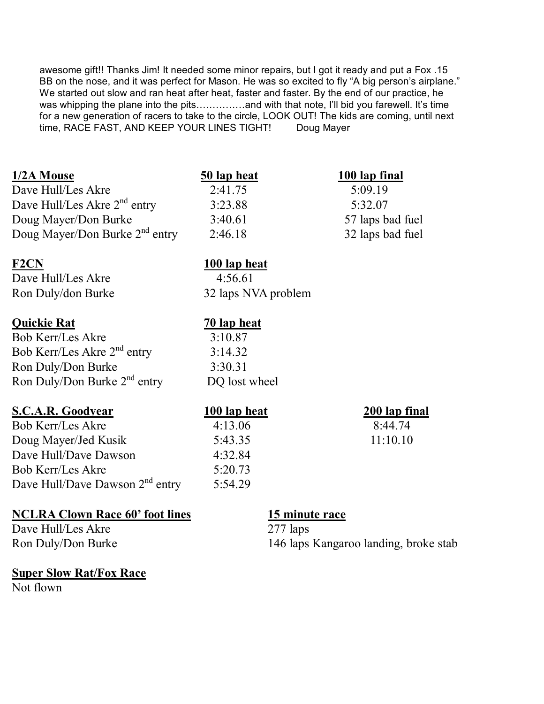awesome gift!! Thanks Jim! It needed some minor repairs, but I got it ready and put a Fox .15 BB on the nose, and it was perfect for Mason. He was so excited to fly "A big person's airplane." We started out slow and ran heat after heat, faster and faster. By the end of our practice, he was whipping the plane into the pits……………and with that note, I'll bid you farewell. It's time for a new generation of racers to take to the circle, LOOK OUT! The kids are coming, until next time, RACE FAST, AND KEEP YOUR LINES TIGHT! Doug Mayer

### **1/2A Mouse 50 lap heat 100 lap final**

Dave Hull/Les Akre 2:41.75 5:09.19 Dave Hull/Les Akre 2<sup>nd</sup> entry 3:23.88 5:32.07 Doug Mayer/Don Burke 3:40.61 57 laps bad fuel Doug Mayer/Don Burke 2<sup>nd</sup> entry 2:46.18 32 laps bad fuel

#### F2CN 100 lap heat

Dave Hull/Les Akre 4:56.61

### **Quickie Rat 70 lap heat**

Bob Kerr/Les Akre 3:10.87 Bob Kerr/Les Akre 2<sup>nd</sup> entry 3:14.32 Ron Duly/Don Burke 3:30.31 Ron Duly/Don Burke  $2<sup>nd</sup>$  entry DQ lost wheel

### **S.C.A.R. Goodyear 100 lap heat 200 lap final**

Bob Kerr/Les Akre 4:13.06 8:44.74 Doug Mayer/Jed Kusik 5:43.35 11:10.10 Dave Hull/Dave Dawson 4:32.84 Bob Kerr/Les Akre 5:20.73 Dave Hull/Dave Dawson 2<sup>nd</sup> entry 5:54.29

### **NCLRA Clown Race 60' foot lines** 15 minute race

Dave Hull/Les Akre 277 laps

#### **Super Slow Rat/Fox Race** Not flown

Ron Duly/don Burke 32 laps NVA problem

Ron Duly/Don Burke 146 laps Kangaroo landing, broke stab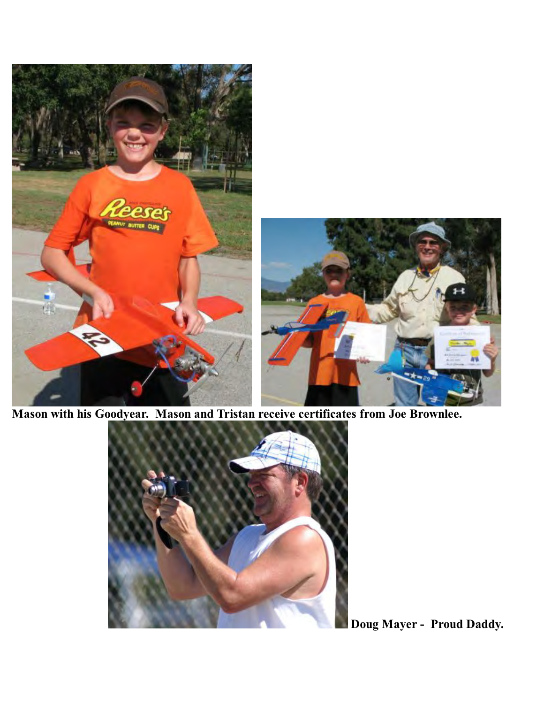

**Mason with his Goodyear. Mason and Tristan receive certificates from Joe Brownlee.** 



**Doug Mayer - Proud Daddy.**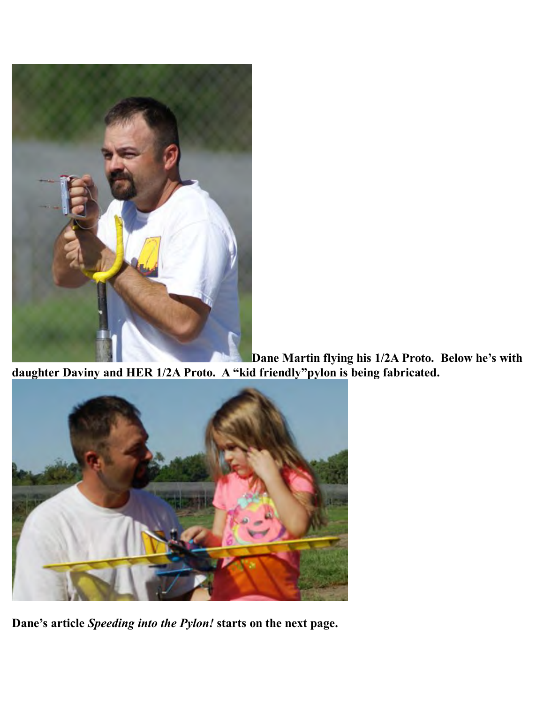

**Dane Martin flying his 1/2A Proto. Below he's with daughter Daviny and HER 1/2A Proto. A "kid friendly"pylon is being fabricated.** 



**Dane's article** *Speeding into the Pylon!* **starts on the next page.**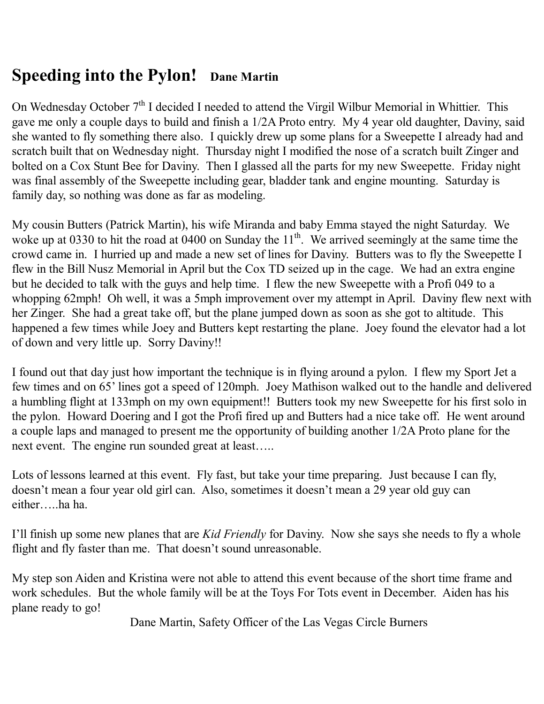## **Speeding into the Pylon! Dane Martin**

On Wednesday October  $7<sup>th</sup>$  I decided I needed to attend the Virgil Wilbur Memorial in Whittier. This gave me only a couple days to build and finish a 1/2A Proto entry. My 4 year old daughter, Daviny, said she wanted to fly something there also. I quickly drew up some plans for a Sweepette I already had and scratch built that on Wednesday night. Thursday night I modified the nose of a scratch built Zinger and bolted on a Cox Stunt Bee for Daviny. Then I glassed all the parts for my new Sweepette. Friday night was final assembly of the Sweepette including gear, bladder tank and engine mounting. Saturday is family day, so nothing was done as far as modeling.

My cousin Butters (Patrick Martin), his wife Miranda and baby Emma stayed the night Saturday. We woke up at 0330 to hit the road at 0400 on Sunday the 11<sup>th</sup>. We arrived seemingly at the same time the crowd came in. I hurried up and made a new set of lines for Daviny. Butters was to fly the Sweepette I flew in the Bill Nusz Memorial in April but the Cox TD seized up in the cage. We had an extra engine but he decided to talk with the guys and help time. I flew the new Sweepette with a Profi 049 to a whopping 62mph! Oh well, it was a 5mph improvement over my attempt in April. Daviny flew next with her Zinger. She had a great take off, but the plane jumped down as soon as she got to altitude. This happened a few times while Joey and Butters kept restarting the plane. Joey found the elevator had a lot of down and very little up. Sorry Daviny!!

I found out that day just how important the technique is in flying around a pylon. I flew my Sport Jet a few times and on 65' lines got a speed of 120mph. Joey Mathison walked out to the handle and delivered a humbling flight at 133mph on my own equipment!! Butters took my new Sweepette for his first solo in the pylon. Howard Doering and I got the Profi fired up and Butters had a nice take off. He went around a couple laps and managed to present me the opportunity of building another 1/2A Proto plane for the next event. The engine run sounded great at least…..

Lots of lessons learned at this event. Fly fast, but take your time preparing. Just because I can fly, doesn't mean a four year old girl can. Also, sometimes it doesn't mean a 29 year old guy can either…..ha ha.

I'll finish up some new planes that are *Kid Friendly* for Daviny. Now she says she needs to fly a whole flight and fly faster than me. That doesn't sound unreasonable.

My step son Aiden and Kristina were not able to attend this event because of the short time frame and work schedules. But the whole family will be at the Toys For Tots event in December. Aiden has his plane ready to go!

Dane Martin, Safety Officer of the Las Vegas Circle Burners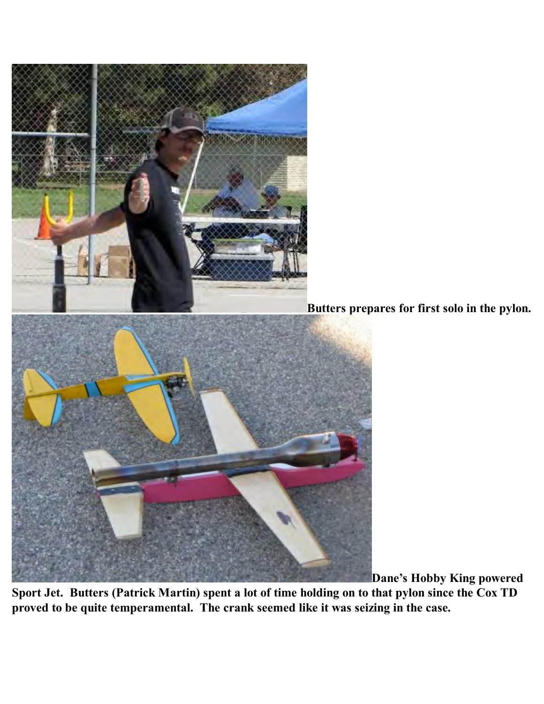

**Butters prepares for first solo in the pylon.** 



**Dane's Hobby King powered** 

**Sport Jet. Butters (Patrick Martin) spent a lot of time holding on to that pylon since the Cox TD proved to be quite temperamental. The crank seemed like it was seizing in the case.**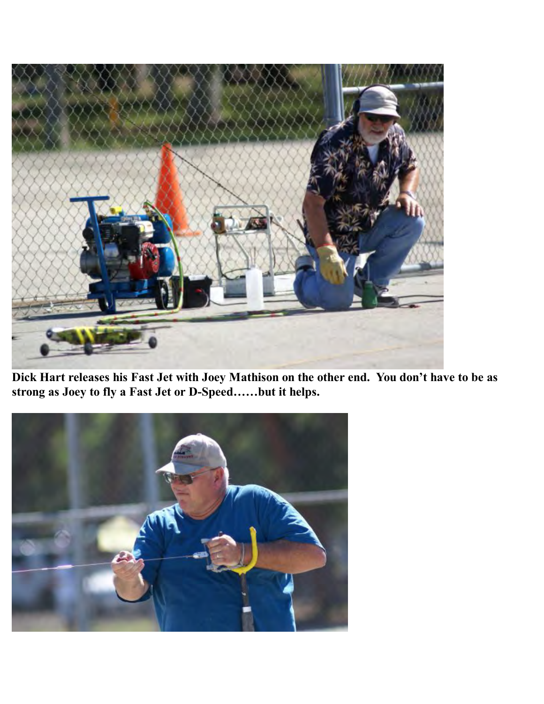

**Dick Hart releases his Fast Jet with Joey Mathison on the other end. You don't have to be as strong as Joey to fly a Fast Jet or D-Speed……but it helps.** 

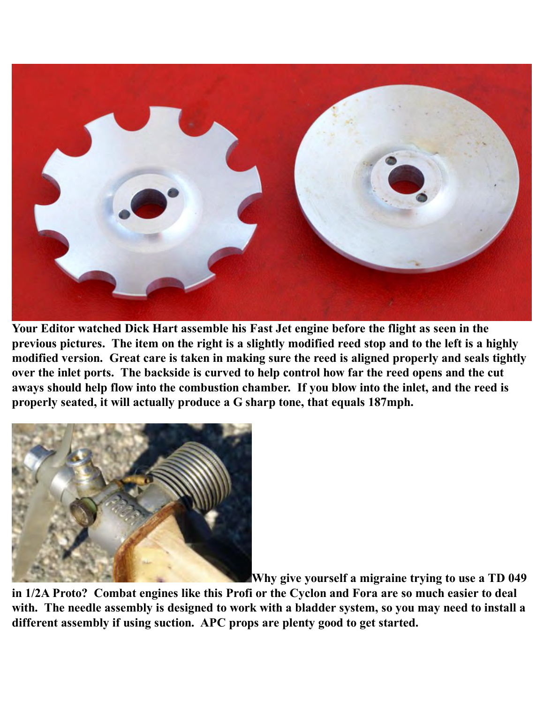

**Your Editor watched Dick Hart assemble his Fast Jet engine before the flight as seen in the previous pictures. The item on the right is a slightly modified reed stop and to the left is a highly modified version. Great care is taken in making sure the reed is aligned properly and seals tightly over the inlet ports. The backside is curved to help control how far the reed opens and the cut aways should help flow into the combustion chamber. If you blow into the inlet, and the reed is properly seated, it will actually produce a G sharp tone, that equals 187mph.** 



**Why give yourself a migraine trying to use a TD 049** 

**in 1/2A Proto? Combat engines like this Profi or the Cyclon and Fora are so much easier to deal with. The needle assembly is designed to work with a bladder system, so you may need to install a different assembly if using suction. APC props are plenty good to get started.**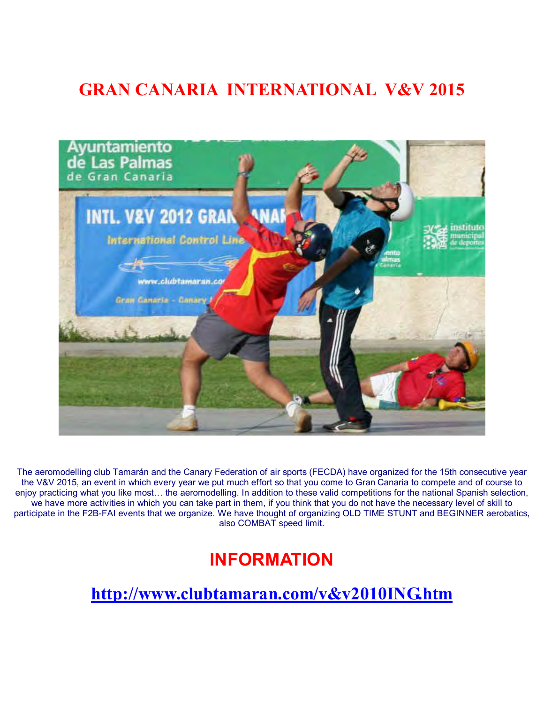## **GRAN CANARIA INTERNATIONAL V&V 2015**



The aeromodelling club Tamarán and the Canary Federation of air sports (FECDA) have organized for the 15th consecutive year the V&V 2015, an event in which every year we put much effort so that you come to Gran Canaria to compete and of course to enjoy practicing what you like most… the aeromodelling. In addition to these valid competitions for the national Spanish selection, we have more activities in which you can take part in them, if you think that you do not have the necessary level of skill to participate in the F2B-FAI events that we organize. We have thought of organizing OLD TIME STUNT and BEGINNER aerobatics, also COMBAT speed limit.

## **INFORMATION**

**http://www.clubtamaran.com/v&v2010ING.htm**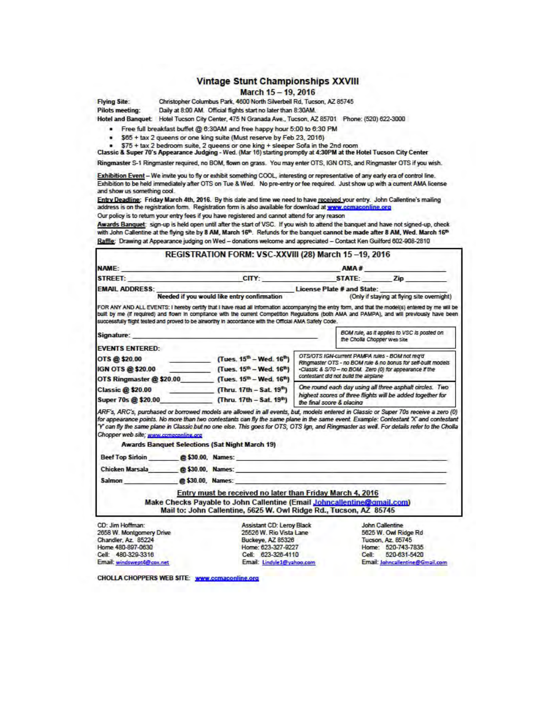#### **Vintage Stunt Championships XXVIII**

#### March 15 - 19, 2016

**Flying Site:** 

Christopher Columbus Park, 4600 North Silverbell Rd, Tucson, AZ 85745 Daily at 8:00 AM. Official flights start no later than 8:30AM.

**Pilots meeting:** Hotel and Banquet Hotel Tucson City Center, 475 N Granada Ave., Tucson, AZ 85701 Phone: (520) 622-3000

· Free full breakfast buffet @ 6:30AM and free happy hour 5:00 to 6:30 PM

- \$65 + tax 2 queens or one king suite (Must reserve by Feb 23, 2016)
- 
- \$75 + tax 2 bedroom suite, 2 queens or one king + sleeper Sofa in the 2nd room<br>Classic & Super 70's Appearance Judging Wed. (Mar 16) starting promptly at 4:30PM at the Hotel Tucson City Center

Ringmaster S-1 Ringmaster required, no BOM, flown on grass. You may enter OTS, IGN OTS, and Ringmaster OTS if you wish.

Exhibition Event - We invite you to fly or exhibit something COOL, interesting or representative of any early era of control line. Exhibition to be held immediately after OTS on Tue & Wed. No pre-entry or fee required. Just show up with a current AMA license and show us something cool.

Entry Deadline: Friday March 4th, 2016. By this date and time we need to have received your entry. John Callentine's mailing address is on the registration form. Registration form is also available for download at www.comaconline.org Our policy is to return your entry fees if you have registered and cannot attend for any reason

Awards Banquet: sign-up is held open until after the start of VSC. If you wish to attend the banquet and have not signed-up, check with John Callentine at the flying site by 8 AM, March 16th. Refunds for the banquet cannot be made after 8 AM, Wed. March 16th Raffle: Drawing at Appearance judging on Wed - donations welcome and appreciated - Contact Ken Guilford 602-908-2810

|                                                                                                                |                                                                           | REGISTRATION FORM: VSC-XXVIII (28) March 15-19, 2016                                                                                                                                                                                                                                                                                                                                                                       |                                                                                         |                                                                                                                           |                                                                                    |  |
|----------------------------------------------------------------------------------------------------------------|---------------------------------------------------------------------------|----------------------------------------------------------------------------------------------------------------------------------------------------------------------------------------------------------------------------------------------------------------------------------------------------------------------------------------------------------------------------------------------------------------------------|-----------------------------------------------------------------------------------------|---------------------------------------------------------------------------------------------------------------------------|------------------------------------------------------------------------------------|--|
| NAME: A CONTRACTOR OF BUILDING                                                                                 |                                                                           |                                                                                                                                                                                                                                                                                                                                                                                                                            |                                                                                         |                                                                                                                           | AMA#                                                                               |  |
|                                                                                                                |                                                                           | STREET: Zip CITY: STATE: Zip                                                                                                                                                                                                                                                                                                                                                                                               |                                                                                         |                                                                                                                           |                                                                                    |  |
| <b>EMAIL ADDRESS:</b>                                                                                          |                                                                           |                                                                                                                                                                                                                                                                                                                                                                                                                            |                                                                                         |                                                                                                                           |                                                                                    |  |
|                                                                                                                |                                                                           | Needed if you would like entry confirmation<br>(Only if staying at flying site overnight)                                                                                                                                                                                                                                                                                                                                  |                                                                                         |                                                                                                                           |                                                                                    |  |
|                                                                                                                |                                                                           | FOR ANY AND ALL EVENTS: I hereby certify that I have read all information accompanying the entry form, and that the model(s) entered by me will be<br>built by me (if required) and flown in compilance with the current Competition Requiations (both AMA and PAMPA), and will previously have been<br>successfully flight tested and proved to be airworthy in accordance with the Official AMA Safety Code.             |                                                                                         |                                                                                                                           |                                                                                    |  |
| Signature: the contract of the contract of the contract of the contract of the contract of the contract of the |                                                                           |                                                                                                                                                                                                                                                                                                                                                                                                                            | BOM rule, as it applies to VSC is posted on<br>the Cholla Chopper web Site              |                                                                                                                           |                                                                                    |  |
| <b>EVENTS ENTERED:</b>                                                                                         |                                                                           |                                                                                                                                                                                                                                                                                                                                                                                                                            |                                                                                         |                                                                                                                           |                                                                                    |  |
| OTS @\$20.00                                                                                                   |                                                                           | (Tues. $15^{th}$ – Wed. $16^{th}$ )                                                                                                                                                                                                                                                                                                                                                                                        |                                                                                         | OTS/OTS IGN-current PAMPA rules - BOM not rea'd                                                                           |                                                                                    |  |
|                                                                                                                | IGN OTS @ \$20.00 (Tues. $15^{\text{th}} - \text{Wed. } 16^{\text{th}}$ ) |                                                                                                                                                                                                                                                                                                                                                                                                                            |                                                                                         | Ringmaster OTS - no BOM rule & no bonus for self-bullt models<br>-Classic & S/70 - no BOM. Zero (0) for appearance if the |                                                                                    |  |
|                                                                                                                |                                                                           | OTS Ringmaster @ \$20.00 (Tues. 15 <sup>th</sup> - Wed. 16 <sup>th</sup> )                                                                                                                                                                                                                                                                                                                                                 | contestant did not build the airplane                                                   |                                                                                                                           |                                                                                    |  |
| <b>Classic @ \$20.00</b>                                                                                       |                                                                           | (Thru. 17th - Sat. 19 <sup>th</sup> )                                                                                                                                                                                                                                                                                                                                                                                      | One round each day using all three asphalt circles. Two                                 |                                                                                                                           |                                                                                    |  |
| Super 70s @ \$20.00 (Thru. 17th - Sat. 19 <sup>th</sup> )                                                      |                                                                           |                                                                                                                                                                                                                                                                                                                                                                                                                            | highest scores of three flights will be added together for<br>the final score & placing |                                                                                                                           |                                                                                    |  |
| Chopper web site: www.compronline.org                                                                          |                                                                           | ARF's, ARC's, purchased or borrowed models are allowed in all events, but, models entered in Classic or Super 70s receive a zero (0)<br>for appearance points. No more than two contestants can fly the same plane in the same event. Example: Contestant "X" and contestant<br>'Y' can fly the same plane in Classic but no one else. This goes for OTS, OTS Ign, and Ringmaster as well. For details refer to the Cholla |                                                                                         |                                                                                                                           |                                                                                    |  |
|                                                                                                                |                                                                           | <b>Awards Banquet Selections (Sat Night March 19)</b>                                                                                                                                                                                                                                                                                                                                                                      |                                                                                         |                                                                                                                           |                                                                                    |  |
|                                                                                                                |                                                                           | Beef Top Sirloin @\$30.00, Names:                                                                                                                                                                                                                                                                                                                                                                                          |                                                                                         |                                                                                                                           |                                                                                    |  |
|                                                                                                                |                                                                           | Chicken Marsala <b>@\$30.00, Names:</b>                                                                                                                                                                                                                                                                                                                                                                                    |                                                                                         |                                                                                                                           |                                                                                    |  |
| Salmon @\$30.00, Names:                                                                                        |                                                                           |                                                                                                                                                                                                                                                                                                                                                                                                                            |                                                                                         |                                                                                                                           |                                                                                    |  |
|                                                                                                                |                                                                           | Entry must be received no later than Friday March 4, 2016                                                                                                                                                                                                                                                                                                                                                                  |                                                                                         |                                                                                                                           |                                                                                    |  |
|                                                                                                                |                                                                           | Make Checks Payable to John Callentine (Email Johncallentine@gmail.com)                                                                                                                                                                                                                                                                                                                                                    |                                                                                         |                                                                                                                           |                                                                                    |  |
|                                                                                                                |                                                                           | Mail to: John Callentine, 5625 W. Owl Ridge Rd., Tucson, AZ 85745                                                                                                                                                                                                                                                                                                                                                          |                                                                                         |                                                                                                                           |                                                                                    |  |
| CD: Jim Hoffman:<br>2658 W. Montgomery Drive<br>Chandler, Az. 85224<br>Home 480-897-0630                       |                                                                           | Assistant CD: Leroy Black<br>25526 W. Rio Vista Lane<br>Buckeye, AZ 85326<br>Home: 623-327-9227                                                                                                                                                                                                                                                                                                                            | <b>STEP</b>                                                                             |                                                                                                                           | John Callentine<br>5625 W. Owl Ridge Rd<br>Tucson, Az. 85745<br>Home: 520-743-7835 |  |
| Cell: 480-329-3316                                                                                             |                                                                           | Cell: 623-326-4110                                                                                                                                                                                                                                                                                                                                                                                                         |                                                                                         | Cell: 520-631-5420                                                                                                        |                                                                                    |  |

Email: Lindyle1@yahoo.com

Email: Johncallentine@Gmail.com

CHOLLA CHOPPERS WEB SITE: www.ccmaconline.org

Email: windswept4@cox.net